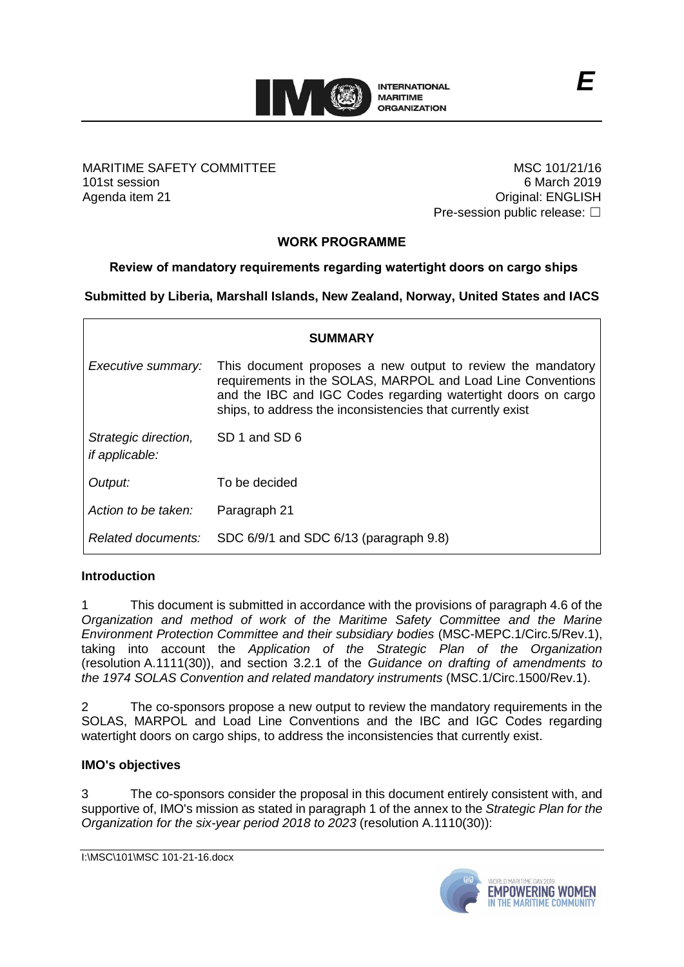

MARITIME SAFETY COMMITTEE 101st session Agenda item 21

MSC 101/21/16 6 March 2019 Original: ENGLISH Pre-session public release: □

# **WORK PROGRAMME**

## **Review of mandatory requirements regarding watertight doors on cargo ships**

**Submitted by Liberia, Marshall Islands, New Zealand, Norway, United States and IACS**

| <b>SUMMARY</b>                                |                                                                                                                                                                                                                                                           |  |  |  |
|-----------------------------------------------|-----------------------------------------------------------------------------------------------------------------------------------------------------------------------------------------------------------------------------------------------------------|--|--|--|
| Executive summary:                            | This document proposes a new output to review the mandatory<br>requirements in the SOLAS, MARPOL and Load Line Conventions<br>and the IBC and IGC Codes regarding watertight doors on cargo<br>ships, to address the inconsistencies that currently exist |  |  |  |
| Strategic direction,<br><i>if applicable:</i> | SD 1 and SD 6                                                                                                                                                                                                                                             |  |  |  |
| Output:                                       | To be decided                                                                                                                                                                                                                                             |  |  |  |
| Action to be taken:                           | Paragraph 21                                                                                                                                                                                                                                              |  |  |  |
| Related documents:                            | SDC 6/9/1 and SDC 6/13 (paragraph 9.8)                                                                                                                                                                                                                    |  |  |  |

## **Introduction**

1 This document is submitted in accordance with the provisions of paragraph 4.6 of the *Organization and method of work of the Maritime Safety Committee and the Marine Environment Protection Committee and their subsidiary bodies* (MSC-MEPC.1/Circ.5/Rev.1), taking into account the *Application of the Strategic Plan of the Organization*  (resolution A.1111(30)), and section 3.2.1 of the *Guidance on drafting of amendments to the 1974 SOLAS Convention and related mandatory instruments* (MSC.1/Circ.1500/Rev.1).

2 The co-sponsors propose a new output to review the mandatory requirements in the SOLAS, MARPOL and Load Line Conventions and the IBC and IGC Codes regarding watertight doors on cargo ships, to address the inconsistencies that currently exist.

## **IMO's objectives**

3 The co-sponsors consider the proposal in this document entirely consistent with, and supportive of, IMO's mission as stated in paragraph 1 of the annex to the *Strategic Plan for the Organization for the six-year period 2018 to 2023* (resolution A.1110(30)):

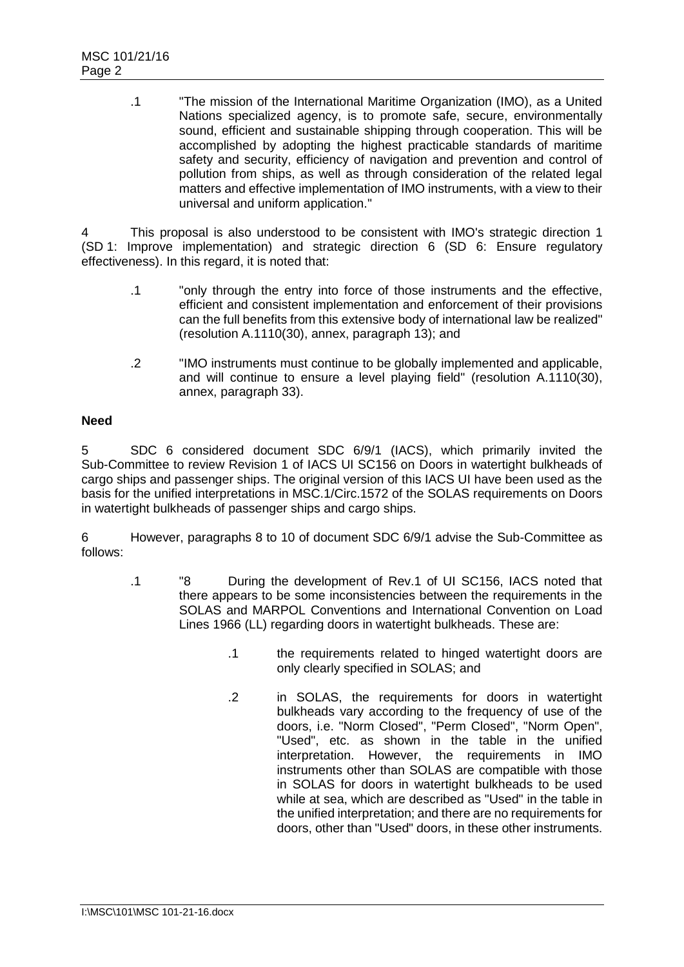.1 "The mission of the International Maritime Organization (IMO), as a United Nations specialized agency, is to promote safe, secure, environmentally sound, efficient and sustainable shipping through cooperation. This will be accomplished by adopting the highest practicable standards of maritime safety and security, efficiency of navigation and prevention and control of pollution from ships, as well as through consideration of the related legal matters and effective implementation of IMO instruments, with a view to their universal and uniform application."

4 This proposal is also understood to be consistent with IMO's strategic direction 1 (SD 1: Improve implementation) and strategic direction 6 (SD 6: Ensure regulatory effectiveness). In this regard, it is noted that:

- .1 "only through the entry into force of those instruments and the effective, efficient and consistent implementation and enforcement of their provisions can the full benefits from this extensive body of international law be realized" (resolution A.1110(30), annex, paragraph 13); and
- .2 "IMO instruments must continue to be globally implemented and applicable, and will continue to ensure a level playing field" (resolution A.1110(30), annex, paragraph 33).

## **Need**

5 SDC 6 considered document SDC 6/9/1 (IACS), which primarily invited the Sub-Committee to review Revision 1 of IACS UI SC156 on Doors in watertight bulkheads of cargo ships and passenger ships. The original version of this IACS UI have been used as the basis for the unified interpretations in MSC.1/Circ.1572 of the SOLAS requirements on Doors in watertight bulkheads of passenger ships and cargo ships.

6 However, paragraphs 8 to 10 of document SDC 6/9/1 advise the Sub-Committee as follows:

- .1 "8 During the development of Rev.1 of UI SC156, IACS noted that there appears to be some inconsistencies between the requirements in the SOLAS and MARPOL Conventions and International Convention on Load Lines 1966 (LL) regarding doors in watertight bulkheads. These are:
	- .1 the requirements related to hinged watertight doors are only clearly specified in SOLAS; and
	- .2 in SOLAS, the requirements for doors in watertight bulkheads vary according to the frequency of use of the doors, i.e. "Norm Closed", "Perm Closed", "Norm Open", "Used", etc. as shown in the table in the unified interpretation. However, the requirements in IMO instruments other than SOLAS are compatible with those in SOLAS for doors in watertight bulkheads to be used while at sea, which are described as "Used" in the table in the unified interpretation; and there are no requirements for doors, other than "Used" doors, in these other instruments.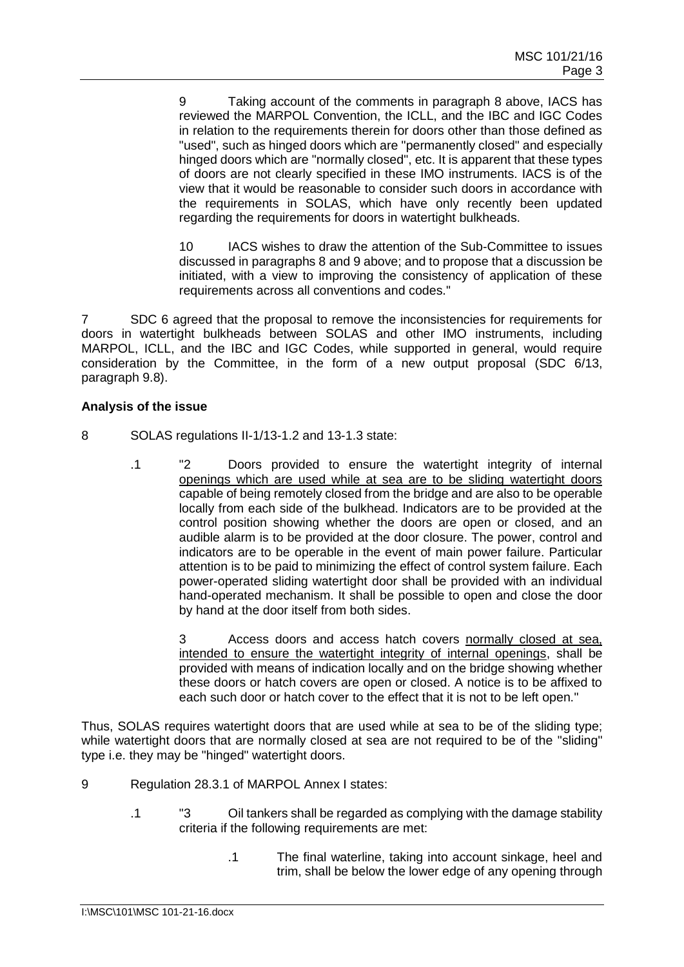9 Taking account of the comments in paragraph 8 above, IACS has reviewed the MARPOL Convention, the ICLL, and the IBC and IGC Codes in relation to the requirements therein for doors other than those defined as "used", such as hinged doors which are "permanently closed" and especially hinged doors which are "normally closed", etc. It is apparent that these types of doors are not clearly specified in these IMO instruments. IACS is of the view that it would be reasonable to consider such doors in accordance with the requirements in SOLAS, which have only recently been updated regarding the requirements for doors in watertight bulkheads.

10 IACS wishes to draw the attention of the Sub-Committee to issues discussed in paragraphs 8 and 9 above; and to propose that a discussion be initiated, with a view to improving the consistency of application of these requirements across all conventions and codes."

7 SDC 6 agreed that the proposal to remove the inconsistencies for requirements for doors in watertight bulkheads between SOLAS and other IMO instruments, including MARPOL, ICLL, and the IBC and IGC Codes, while supported in general, would require consideration by the Committee, in the form of a new output proposal (SDC 6/13, paragraph 9.8).

## **Analysis of the issue**

- 8 SOLAS regulations II-1/13-1.2 and 13-1.3 state:
	- .1 "2 Doors provided to ensure the watertight integrity of internal openings which are used while at sea are to be sliding watertight doors capable of being remotely closed from the bridge and are also to be operable locally from each side of the bulkhead. Indicators are to be provided at the control position showing whether the doors are open or closed, and an audible alarm is to be provided at the door closure. The power, control and indicators are to be operable in the event of main power failure. Particular attention is to be paid to minimizing the effect of control system failure. Each power-operated sliding watertight door shall be provided with an individual hand-operated mechanism. It shall be possible to open and close the door by hand at the door itself from both sides.

Access doors and access hatch covers normally closed at sea, intended to ensure the watertight integrity of internal openings, shall be provided with means of indication locally and on the bridge showing whether these doors or hatch covers are open or closed. A notice is to be affixed to each such door or hatch cover to the effect that it is not to be left open."

Thus, SOLAS requires watertight doors that are used while at sea to be of the sliding type; while watertight doors that are normally closed at sea are not required to be of the "sliding" type i.e. they may be "hinged" watertight doors.

- 9 Regulation 28.3.1 of MARPOL Annex I states:
	- .1 "3 Oil tankers shall be regarded as complying with the damage stability criteria if the following requirements are met:
		- .1 The final waterline, taking into account sinkage, heel and trim, shall be below the lower edge of any opening through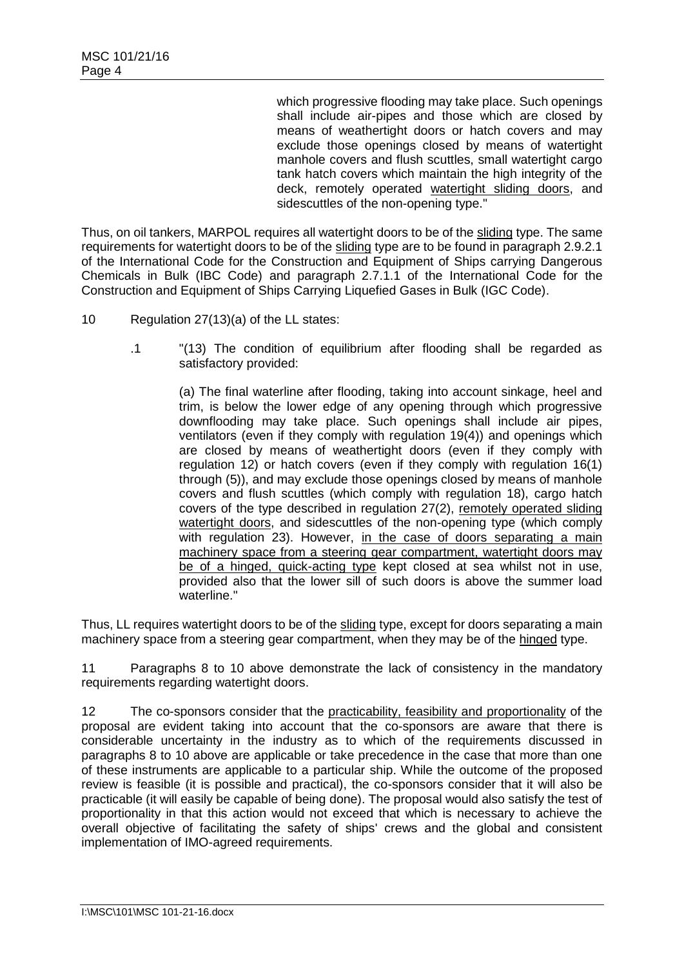which progressive flooding may take place. Such openings shall include air-pipes and those which are closed by means of weathertight doors or hatch covers and may exclude those openings closed by means of watertight manhole covers and flush scuttles, small watertight cargo tank hatch covers which maintain the high integrity of the deck, remotely operated watertight sliding doors, and sidescuttles of the non-opening type."

Thus, on oil tankers, MARPOL requires all watertight doors to be of the sliding type. The same requirements for watertight doors to be of the sliding type are to be found in paragraph 2.9.2.1 of the International Code for the Construction and Equipment of Ships carrying Dangerous Chemicals in Bulk (IBC Code) and paragraph 2.7.1.1 of the International Code for the Construction and Equipment of Ships Carrying Liquefied Gases in Bulk (IGC Code).

- 10 Regulation 27(13)(a) of the LL states:
	- .1 "(13) The condition of equilibrium after flooding shall be regarded as satisfactory provided:

(a) The final waterline after flooding, taking into account sinkage, heel and trim, is below the lower edge of any opening through which progressive downflooding may take place. Such openings shall include air pipes, ventilators (even if they comply with regulation 19(4)) and openings which are closed by means of weathertight doors (even if they comply with regulation 12) or hatch covers (even if they comply with regulation 16(1) through (5)), and may exclude those openings closed by means of manhole covers and flush scuttles (which comply with regulation 18), cargo hatch covers of the type described in regulation 27(2), remotely operated sliding watertight doors, and sidescuttles of the non-opening type (which comply with regulation 23). However, in the case of doors separating a main machinery space from a steering gear compartment, watertight doors may be of a hinged, quick-acting type kept closed at sea whilst not in use, provided also that the lower sill of such doors is above the summer load waterline."

Thus, LL requires watertight doors to be of the sliding type, except for doors separating a main machinery space from a steering gear compartment, when they may be of the hinged type.

11 Paragraphs 8 to 10 above demonstrate the lack of consistency in the mandatory requirements regarding watertight doors.

12 The co-sponsors consider that the practicability, feasibility and proportionality of the proposal are evident taking into account that the co-sponsors are aware that there is considerable uncertainty in the industry as to which of the requirements discussed in paragraphs 8 to 10 above are applicable or take precedence in the case that more than one of these instruments are applicable to a particular ship. While the outcome of the proposed review is feasible (it is possible and practical), the co-sponsors consider that it will also be practicable (it will easily be capable of being done). The proposal would also satisfy the test of proportionality in that this action would not exceed that which is necessary to achieve the overall objective of facilitating the safety of ships' crews and the global and consistent implementation of IMO-agreed requirements.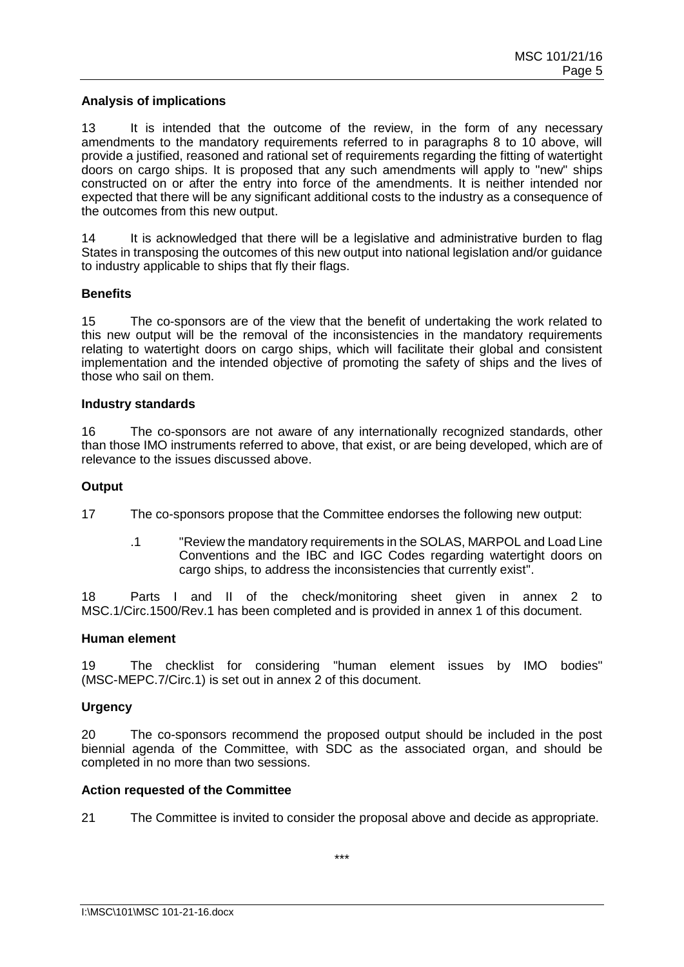#### **Analysis of implications**

13 It is intended that the outcome of the review, in the form of any necessary amendments to the mandatory requirements referred to in paragraphs 8 to 10 above, will provide a justified, reasoned and rational set of requirements regarding the fitting of watertight doors on cargo ships. It is proposed that any such amendments will apply to "new" ships constructed on or after the entry into force of the amendments. It is neither intended nor expected that there will be any significant additional costs to the industry as a consequence of the outcomes from this new output.

14 It is acknowledged that there will be a legislative and administrative burden to flag States in transposing the outcomes of this new output into national legislation and/or guidance to industry applicable to ships that fly their flags.

#### **Benefits**

15 The co-sponsors are of the view that the benefit of undertaking the work related to this new output will be the removal of the inconsistencies in the mandatory requirements relating to watertight doors on cargo ships, which will facilitate their global and consistent implementation and the intended objective of promoting the safety of ships and the lives of those who sail on them.

#### **Industry standards**

16 The co-sponsors are not aware of any internationally recognized standards, other than those IMO instruments referred to above, that exist, or are being developed, which are of relevance to the issues discussed above.

#### **Output**

17 The co-sponsors propose that the Committee endorses the following new output:

.1 "Review the mandatory requirements in the SOLAS, MARPOL and Load Line Conventions and the IBC and IGC Codes regarding watertight doors on cargo ships, to address the inconsistencies that currently exist".

18 Parts I and II of the check/monitoring sheet given in annex 2 to MSC.1/Circ.1500/Rev.1 has been completed and is provided in annex 1 of this document.

#### **Human element**

19 The checklist for considering "human element issues by IMO bodies" (MSC-MEPC.7/Circ.1) is set out in annex 2 of this document.

## **Urgency**

20 The co-sponsors recommend the proposed output should be included in the post biennial agenda of the Committee, with SDC as the associated organ, and should be completed in no more than two sessions.

#### **Action requested of the Committee**

21 The Committee is invited to consider the proposal above and decide as appropriate.

\*\*\*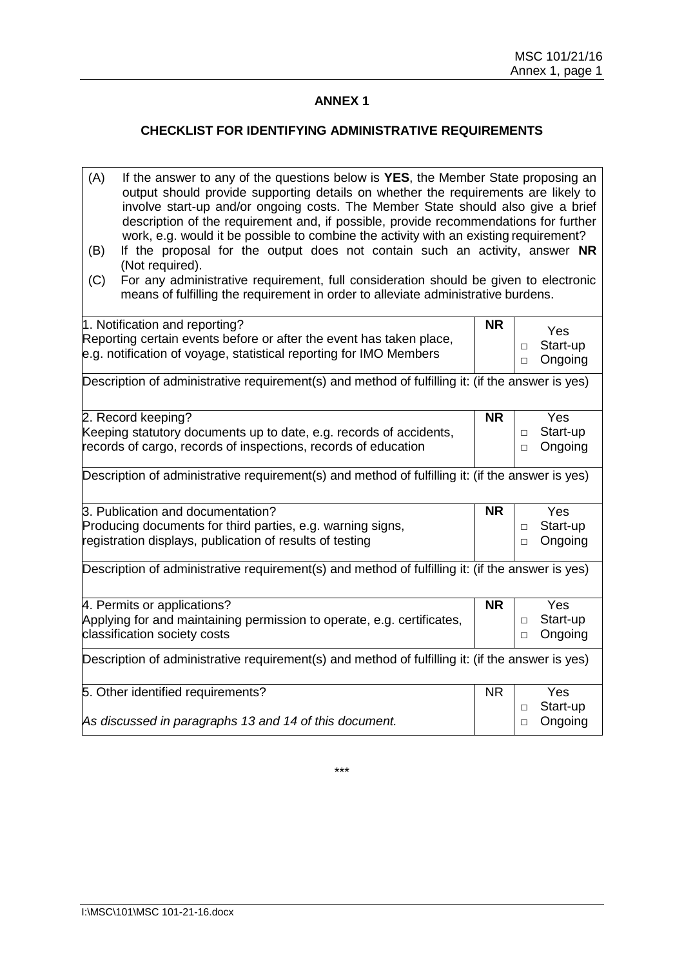## **ANNEX 1**

## **CHECKLIST FOR IDENTIFYING ADMINISTRATIVE REQUIREMENTS**

| 1. Notification and reporting?<br><b>NR</b><br>Yes<br>Reporting certain events before or after the event has taken place,<br>Start-up<br>$\Box$<br>e.g. notification of voyage, statistical reporting for IMO Members<br>Ongoing<br>$\Box$<br>2. Record keeping?<br><b>NR</b><br>Yes<br>Keeping statutory documents up to date, e.g. records of accidents,<br>Start-up<br>$\Box$<br>records of cargo, records of inspections, records of education<br>Ongoing<br>$\Box$<br>3. Publication and documentation?<br><b>NR</b><br>Yes<br>Producing documents for third parties, e.g. warning signs,<br>Start-up<br>П<br>registration displays, publication of results of testing<br>Ongoing<br>$\Box$<br>4. Permits or applications?<br>Yes<br><b>NR</b><br>Applying for and maintaining permission to operate, e.g. certificates,<br>Start-up<br>$\Box$<br>classification society costs<br>Ongoing<br>$\Box$<br>Yes<br>5. Other identified requirements?<br><b>NR</b><br>Start-up<br>$\Box$<br>As discussed in paragraphs 13 and 14 of this document.<br>Ongoing<br>$\Box$ | (A)<br>(B)<br>(C)                                                                                | If the answer to any of the questions below is YES, the Member State proposing an<br>output should provide supporting details on whether the requirements are likely to<br>involve start-up and/or ongoing costs. The Member State should also give a brief<br>description of the requirement and, if possible, provide recommendations for further<br>work, e.g. would it be possible to combine the activity with an existing requirement?<br>If the proposal for the output does not contain such an activity, answer NR<br>(Not required).<br>For any administrative requirement, full consideration should be given to electronic<br>means of fulfilling the requirement in order to alleviate administrative burdens. |  |  |  |  |
|------------------------------------------------------------------------------------------------------------------------------------------------------------------------------------------------------------------------------------------------------------------------------------------------------------------------------------------------------------------------------------------------------------------------------------------------------------------------------------------------------------------------------------------------------------------------------------------------------------------------------------------------------------------------------------------------------------------------------------------------------------------------------------------------------------------------------------------------------------------------------------------------------------------------------------------------------------------------------------------------------------------------------------------------------------------------|--------------------------------------------------------------------------------------------------|-----------------------------------------------------------------------------------------------------------------------------------------------------------------------------------------------------------------------------------------------------------------------------------------------------------------------------------------------------------------------------------------------------------------------------------------------------------------------------------------------------------------------------------------------------------------------------------------------------------------------------------------------------------------------------------------------------------------------------|--|--|--|--|
|                                                                                                                                                                                                                                                                                                                                                                                                                                                                                                                                                                                                                                                                                                                                                                                                                                                                                                                                                                                                                                                                        |                                                                                                  |                                                                                                                                                                                                                                                                                                                                                                                                                                                                                                                                                                                                                                                                                                                             |  |  |  |  |
|                                                                                                                                                                                                                                                                                                                                                                                                                                                                                                                                                                                                                                                                                                                                                                                                                                                                                                                                                                                                                                                                        |                                                                                                  |                                                                                                                                                                                                                                                                                                                                                                                                                                                                                                                                                                                                                                                                                                                             |  |  |  |  |
|                                                                                                                                                                                                                                                                                                                                                                                                                                                                                                                                                                                                                                                                                                                                                                                                                                                                                                                                                                                                                                                                        |                                                                                                  |                                                                                                                                                                                                                                                                                                                                                                                                                                                                                                                                                                                                                                                                                                                             |  |  |  |  |
|                                                                                                                                                                                                                                                                                                                                                                                                                                                                                                                                                                                                                                                                                                                                                                                                                                                                                                                                                                                                                                                                        |                                                                                                  |                                                                                                                                                                                                                                                                                                                                                                                                                                                                                                                                                                                                                                                                                                                             |  |  |  |  |
|                                                                                                                                                                                                                                                                                                                                                                                                                                                                                                                                                                                                                                                                                                                                                                                                                                                                                                                                                                                                                                                                        | Description of administrative requirement(s) and method of fulfilling it: (if the answer is yes) |                                                                                                                                                                                                                                                                                                                                                                                                                                                                                                                                                                                                                                                                                                                             |  |  |  |  |
|                                                                                                                                                                                                                                                                                                                                                                                                                                                                                                                                                                                                                                                                                                                                                                                                                                                                                                                                                                                                                                                                        |                                                                                                  |                                                                                                                                                                                                                                                                                                                                                                                                                                                                                                                                                                                                                                                                                                                             |  |  |  |  |
|                                                                                                                                                                                                                                                                                                                                                                                                                                                                                                                                                                                                                                                                                                                                                                                                                                                                                                                                                                                                                                                                        |                                                                                                  |                                                                                                                                                                                                                                                                                                                                                                                                                                                                                                                                                                                                                                                                                                                             |  |  |  |  |
|                                                                                                                                                                                                                                                                                                                                                                                                                                                                                                                                                                                                                                                                                                                                                                                                                                                                                                                                                                                                                                                                        |                                                                                                  |                                                                                                                                                                                                                                                                                                                                                                                                                                                                                                                                                                                                                                                                                                                             |  |  |  |  |
|                                                                                                                                                                                                                                                                                                                                                                                                                                                                                                                                                                                                                                                                                                                                                                                                                                                                                                                                                                                                                                                                        | Description of administrative requirement(s) and method of fulfilling it: (if the answer is yes) |                                                                                                                                                                                                                                                                                                                                                                                                                                                                                                                                                                                                                                                                                                                             |  |  |  |  |
|                                                                                                                                                                                                                                                                                                                                                                                                                                                                                                                                                                                                                                                                                                                                                                                                                                                                                                                                                                                                                                                                        |                                                                                                  |                                                                                                                                                                                                                                                                                                                                                                                                                                                                                                                                                                                                                                                                                                                             |  |  |  |  |
|                                                                                                                                                                                                                                                                                                                                                                                                                                                                                                                                                                                                                                                                                                                                                                                                                                                                                                                                                                                                                                                                        |                                                                                                  |                                                                                                                                                                                                                                                                                                                                                                                                                                                                                                                                                                                                                                                                                                                             |  |  |  |  |
|                                                                                                                                                                                                                                                                                                                                                                                                                                                                                                                                                                                                                                                                                                                                                                                                                                                                                                                                                                                                                                                                        |                                                                                                  |                                                                                                                                                                                                                                                                                                                                                                                                                                                                                                                                                                                                                                                                                                                             |  |  |  |  |
|                                                                                                                                                                                                                                                                                                                                                                                                                                                                                                                                                                                                                                                                                                                                                                                                                                                                                                                                                                                                                                                                        |                                                                                                  |                                                                                                                                                                                                                                                                                                                                                                                                                                                                                                                                                                                                                                                                                                                             |  |  |  |  |
|                                                                                                                                                                                                                                                                                                                                                                                                                                                                                                                                                                                                                                                                                                                                                                                                                                                                                                                                                                                                                                                                        | Description of administrative requirement(s) and method of fulfilling it: (if the answer is yes) |                                                                                                                                                                                                                                                                                                                                                                                                                                                                                                                                                                                                                                                                                                                             |  |  |  |  |
|                                                                                                                                                                                                                                                                                                                                                                                                                                                                                                                                                                                                                                                                                                                                                                                                                                                                                                                                                                                                                                                                        |                                                                                                  |                                                                                                                                                                                                                                                                                                                                                                                                                                                                                                                                                                                                                                                                                                                             |  |  |  |  |
|                                                                                                                                                                                                                                                                                                                                                                                                                                                                                                                                                                                                                                                                                                                                                                                                                                                                                                                                                                                                                                                                        |                                                                                                  |                                                                                                                                                                                                                                                                                                                                                                                                                                                                                                                                                                                                                                                                                                                             |  |  |  |  |
|                                                                                                                                                                                                                                                                                                                                                                                                                                                                                                                                                                                                                                                                                                                                                                                                                                                                                                                                                                                                                                                                        |                                                                                                  |                                                                                                                                                                                                                                                                                                                                                                                                                                                                                                                                                                                                                                                                                                                             |  |  |  |  |
|                                                                                                                                                                                                                                                                                                                                                                                                                                                                                                                                                                                                                                                                                                                                                                                                                                                                                                                                                                                                                                                                        | Description of administrative requirement(s) and method of fulfilling it: (if the answer is yes) |                                                                                                                                                                                                                                                                                                                                                                                                                                                                                                                                                                                                                                                                                                                             |  |  |  |  |
|                                                                                                                                                                                                                                                                                                                                                                                                                                                                                                                                                                                                                                                                                                                                                                                                                                                                                                                                                                                                                                                                        |                                                                                                  |                                                                                                                                                                                                                                                                                                                                                                                                                                                                                                                                                                                                                                                                                                                             |  |  |  |  |
|                                                                                                                                                                                                                                                                                                                                                                                                                                                                                                                                                                                                                                                                                                                                                                                                                                                                                                                                                                                                                                                                        |                                                                                                  |                                                                                                                                                                                                                                                                                                                                                                                                                                                                                                                                                                                                                                                                                                                             |  |  |  |  |
|                                                                                                                                                                                                                                                                                                                                                                                                                                                                                                                                                                                                                                                                                                                                                                                                                                                                                                                                                                                                                                                                        |                                                                                                  |                                                                                                                                                                                                                                                                                                                                                                                                                                                                                                                                                                                                                                                                                                                             |  |  |  |  |

\*\*\*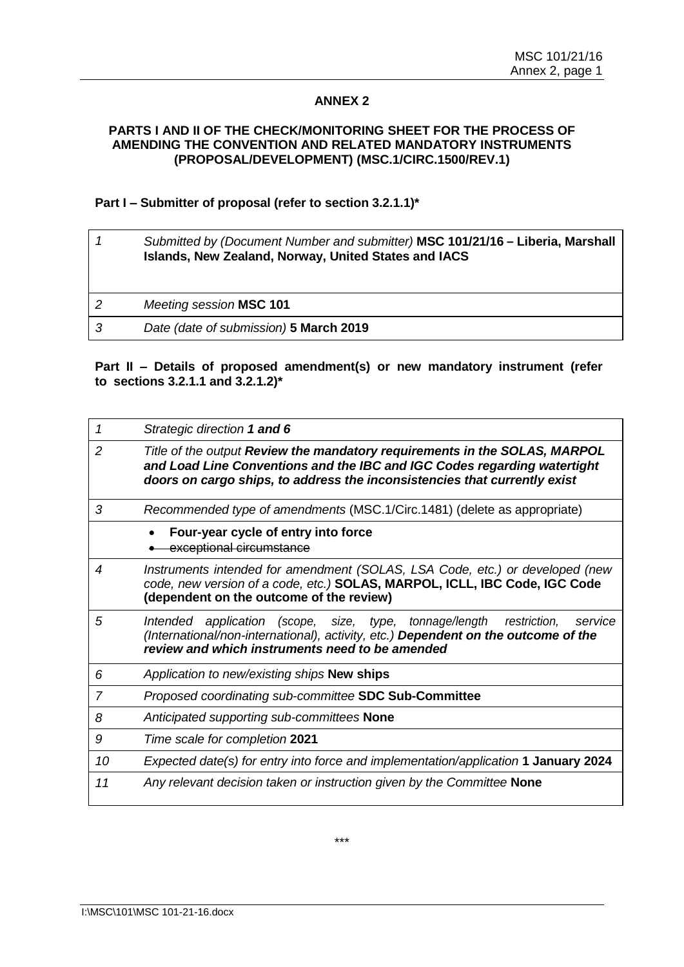## **ANNEX 2**

#### **PARTS I AND II OF THE CHECK/MONITORING SHEET FOR THE PROCESS OF AMENDING THE CONVENTION AND RELATED MANDATORY INSTRUMENTS (PROPOSAL/DEVELOPMENT) (MSC.1/CIRC.1500/REV.1)**

#### **Part I – Submitter of proposal (refer to section 3.2.1.1)\***

|    | Submitted by (Document Number and submitter) MSC 101/21/16 - Liberia, Marshall<br>Islands, New Zealand, Norway, United States and IACS |
|----|----------------------------------------------------------------------------------------------------------------------------------------|
| 2  | Meeting session MSC 101                                                                                                                |
| -3 | Date (date of submission) 5 March 2019                                                                                                 |

### **Part II – Details of proposed amendment(s) or new mandatory instrument (refer to sections 3.2.1.1 and 3.2.1.2)\***

| 1              | Strategic direction 1 and 6                                                                                                                                                                                                         |
|----------------|-------------------------------------------------------------------------------------------------------------------------------------------------------------------------------------------------------------------------------------|
| $\overline{2}$ | Title of the output Review the mandatory requirements in the SOLAS, MARPOL<br>and Load Line Conventions and the IBC and IGC Codes regarding watertight<br>doors on cargo ships, to address the inconsistencies that currently exist |
| 3              | Recommended type of amendments (MSC.1/Circ.1481) (delete as appropriate)                                                                                                                                                            |
|                | Four-year cycle of entry into force<br>exceptional circumstance                                                                                                                                                                     |
| 4              | Instruments intended for amendment (SOLAS, LSA Code, etc.) or developed (new<br>code, new version of a code, etc.) SOLAS, MARPOL, ICLL, IBC Code, IGC Code<br>(dependent on the outcome of the review)                              |
| 5              | Intended application (scope, size, type, tonnage/length<br>restriction,<br>service<br>(International/non-international), activity, etc.) Dependent on the outcome of the<br>review and which instruments need to be amended         |
| 6              | Application to new/existing ships New ships                                                                                                                                                                                         |
| 7              | Proposed coordinating sub-committee SDC Sub-Committee                                                                                                                                                                               |
| 8              | Anticipated supporting sub-committees None                                                                                                                                                                                          |
| 9              | Time scale for completion 2021                                                                                                                                                                                                      |
| 10             | Expected date(s) for entry into force and implementation/application 1 January 2024                                                                                                                                                 |
| 11             | Any relevant decision taken or instruction given by the Committee None                                                                                                                                                              |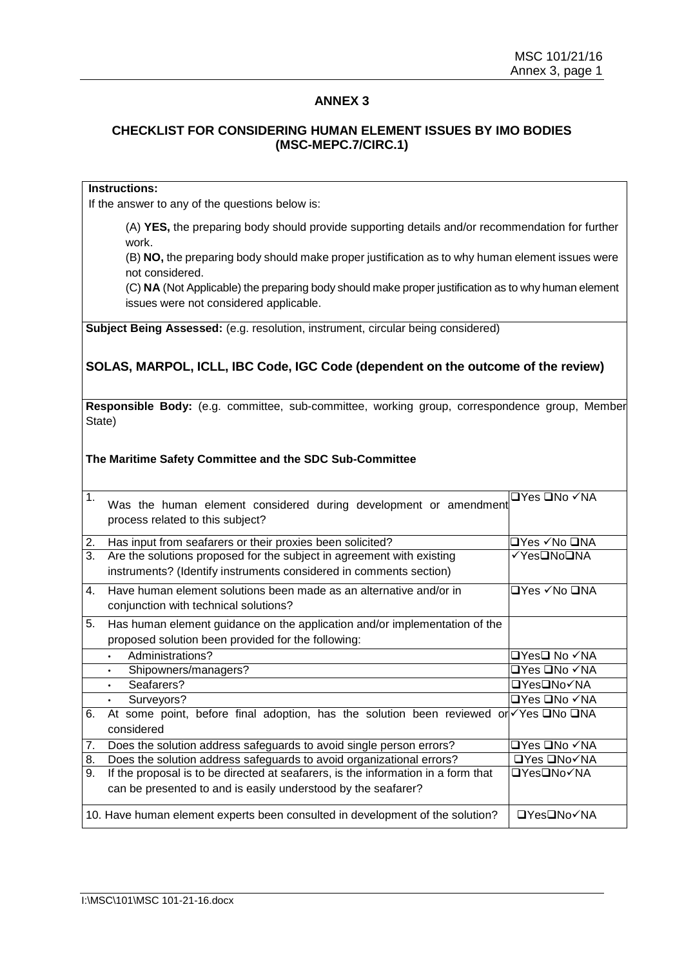## **ANNEX 3**

### **CHECKLIST FOR CONSIDERING HUMAN ELEMENT ISSUES BY IMO BODIES (MSC-MEPC.7/CIRC.1)**

#### **Instructions:**

If the answer to any of the questions below is:

(A) **YES,** the preparing body should provide supporting details and/or recommendation for further work.

(B) **NO,** the preparing body should make proper justification as to why human element issues were not considered.

(C) **NA** (Not Applicable) the preparing body should make proper justification as to why human element issues were not considered applicable.

**Subject Being Assessed:** (e.g. resolution, instrument, circular being considered)

## **SOLAS, MARPOL, ICLL, IBC Code, IGC Code (dependent on the outcome of the review)**

**Responsible Body:** (e.g. committee, sub-committee, working group, correspondence group, Member State)

#### **The Maritime Safety Committee and the SDC Sub-Committee**

| $\mathbf 1$ . | Was the human element considered during development or amendment<br>process related to this subject?                                               | <b>□Yes □No √NA</b> |
|---------------|----------------------------------------------------------------------------------------------------------------------------------------------------|---------------------|
| 2.            | Has input from seafarers or their proxies been solicited?                                                                                          | l⊐Yes ✓No ❑NA       |
| 3.            | Are the solutions proposed for the subject in agreement with existing<br>instruments? (Identify instruments considered in comments section)        | √Yes❑No❑NA          |
| 4.            | Have human element solutions been made as an alternative and/or in<br>conjunction with technical solutions?                                        | <b>□Yes √No □NA</b> |
| 5.            | Has human element guidance on the application and/or implementation of the<br>proposed solution been provided for the following:                   |                     |
|               | Administrations?<br>$\bullet$                                                                                                                      | □Yes□ No ✓NA        |
|               | Shipowners/managers?<br>$\bullet$                                                                                                                  | □Yes □No ✓NA        |
|               | Seafarers?<br>$\bullet$                                                                                                                            | <b>□Yes□No√NA</b>   |
|               | Surveyors?<br>$\bullet$                                                                                                                            | <b>□Yes □No √NA</b> |
| 6.            | At some point, before final adoption, has the solution been reviewed or $\sqrt{Y}$ es $\Box$ No $\Box$ NA<br>considered                            |                     |
| 7.            | Does the solution address safeguards to avoid single person errors?                                                                                | □Yes □No ✓NA        |
| 8.            | Does the solution address safeguards to avoid organizational errors?                                                                               | <b>□Yes □No√NA</b>  |
| 9.            | If the proposal is to be directed at seafarers, is the information in a form that<br>can be presented to and is easily understood by the seafarer? | <b>□YesONo</b> √NA  |
|               | 10. Have human element experts been consulted in development of the solution?                                                                      | <b>□Yes</b> □No√NA  |